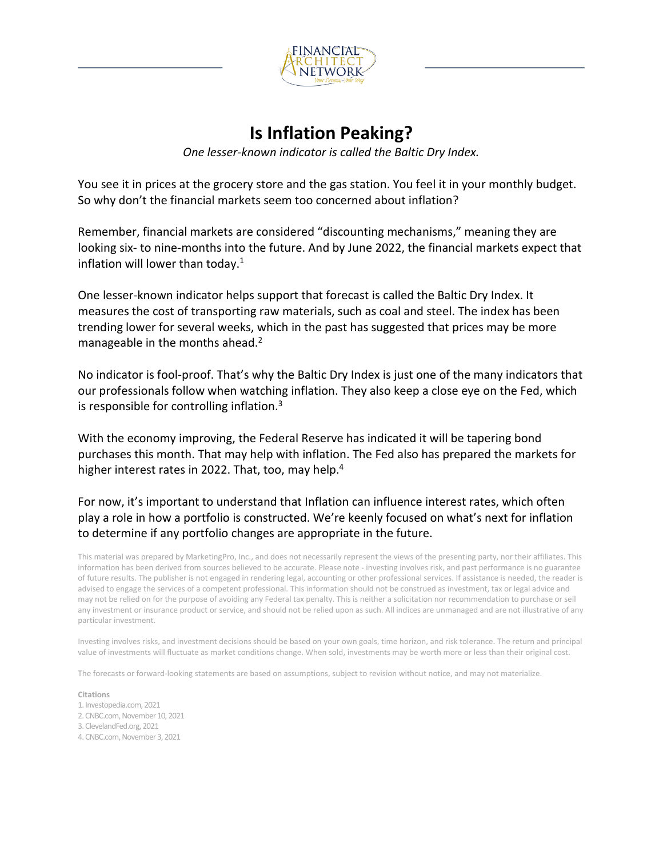

## **Is Inflation Peaking?**

*One lesser-known indicator is called the Baltic Dry Index.*

You see it in prices at the grocery store and the gas station. You feel it in your monthly budget. So why don't the financial markets seem too concerned about inflation?

Remember, financial markets are considered "discounting mechanisms," meaning they are looking six- to nine-months into the future. And by June 2022, the financial markets expect that inflation will lower than today. $1$ 

One lesser-known indicator helps support that forecast is called the Baltic Dry Index. It measures the cost of transporting raw materials, such as coal and steel. The index has been trending lower for several weeks, which in the past has suggested that prices may be more manageable in the months ahead.<sup>2</sup>

No indicator is fool-proof. That's why the Baltic Dry Index is just one of the many indicators that our professionals follow when watching inflation. They also keep a close eye on the Fed, which is responsible for controlling inflation. $3$ 

With the economy improving, the Federal Reserve has indicated it will be tapering bond purchases this month. That may help with inflation. The Fed also has prepared the markets for higher interest rates in 2022. That, too, may help.<sup>4</sup>

For now, it's important to understand that Inflation can influence interest rates, which often play a role in how a portfolio is constructed. We're keenly focused on what's next for inflation to determine if any portfolio changes are appropriate in the future.

This material was prepared by MarketingPro, Inc., and does not necessarily represent the views of the presenting party, nor their affiliates. This information has been derived from sources believed to be accurate. Please note - investing involves risk, and past performance is no guarantee of future results. The publisher is not engaged in rendering legal, accounting or other professional services. If assistance is needed, the reader is advised to engage the services of a competent professional. This information should not be construed as investment, tax or legal advice and may not be relied on for the purpose of avoiding any Federal tax penalty. This is neither a solicitation nor recommendation to purchase or sell any investment or insurance product or service, and should not be relied upon as such. All indices are unmanaged and are not illustrative of any particular investment.

Investing involves risks, and investment decisions should be based on your own goals, time horizon, and risk tolerance. The return and principal value of investments will fluctuate as market conditions change. When sold, investments may be worth more or less than their original cost.

The forecasts or forward-looking statements are based on assumptions, subject to revision without notice, and may not materialize.

**Citations**

- 1. Investopedia.com, 2021
- 2. CNBC.com, November 10, 2021
- 3. ClevelandFed.org, 2021
- 4. CNBC.com, November 3, 2021